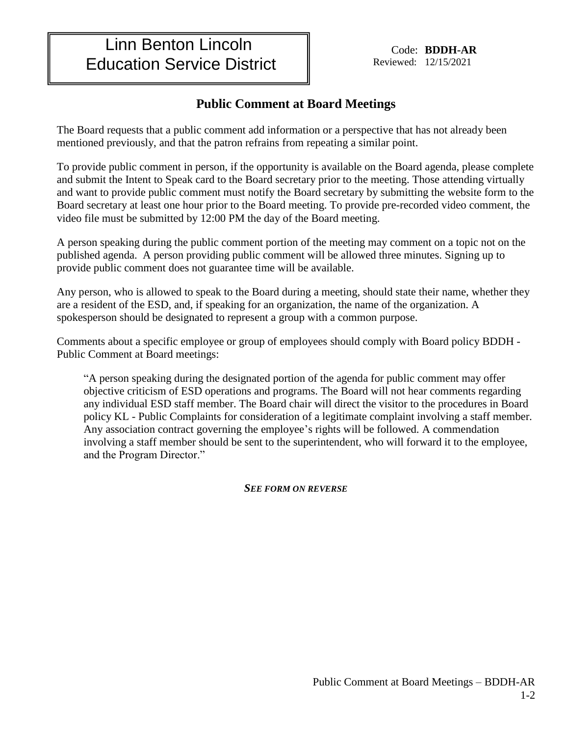## Linn Benton Lincoln Education Service District

Code: **BDDH-AR** Reviewed: 12/15/2021

## **Public Comment at Board Meetings**

The Board requests that a public comment add information or a perspective that has not already been mentioned previously, and that the patron refrains from repeating a similar point.

To provide public comment in person, if the opportunity is available on the Board agenda, please complete and submit the Intent to Speak card to the Board secretary prior to the meeting. Those attending virtually and want to provide public comment must notify the Board secretary by submitting the website form to the Board secretary at least one hour prior to the Board meeting. To provide pre-recorded video comment, the video file must be submitted by 12:00 PM the day of the Board meeting.

A person speaking during the public comment portion of the meeting may comment on a topic not on the published agenda. A person providing public comment will be allowed three minutes. Signing up to provide public comment does not guarantee time will be available.

Any person, who is allowed to speak to the Board during a meeting, should state their name, whether they are a resident of the ESD, and, if speaking for an organization, the name of the organization. A spokesperson should be designated to represent a group with a common purpose.

Comments about a specific employee or group of employees should comply with Board policy BDDH - Public Comment at Board meetings:

"A person speaking during the designated portion of the agenda for public comment may offer objective criticism of ESD operations and programs. The Board will not hear comments regarding any individual ESD staff member. The Board chair will direct the visitor to the procedures in Board policy KL - Public Complaints for consideration of a legitimate complaint involving a staff member. Any association contract governing the employee's rights will be followed. A commendation involving a staff member should be sent to the superintendent, who will forward it to the employee, and the Program Director."

*SEE FORM ON REVERSE*